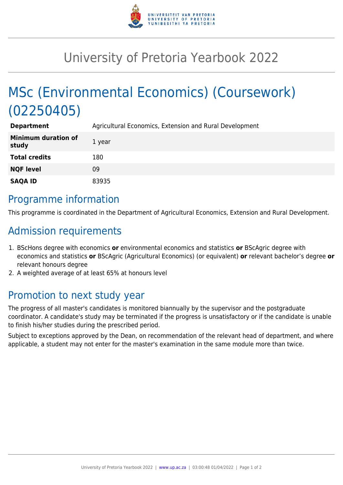

## University of Pretoria Yearbook 2022

# MSc (Environmental Economics) (Coursework) (02250405)

| <b>Department</b>                   | Agricultural Economics, Extension and Rural Development |
|-------------------------------------|---------------------------------------------------------|
| <b>Minimum duration of</b><br>study | 1 year                                                  |
| <b>Total credits</b>                | 180                                                     |
| <b>NQF level</b>                    | 09                                                      |
| <b>SAQA ID</b>                      | 83935                                                   |

#### Programme information

This programme is coordinated in the Department of Agricultural Economics, Extension and Rural Development.

### Admission requirements

- 1. BScHons degree with economics **or** environmental economics and statistics **or** BScAgric degree with economics and statistics **or** BScAgric (Agricultural Economics) (or equivalent) **or** relevant bachelor's degree **or** relevant honours degree
- 2. A weighted average of at least 65% at honours level

## Promotion to next study year

The progress of all master's candidates is monitored biannually by the supervisor and the postgraduate coordinator. A candidate's study may be terminated if the progress is unsatisfactory or if the candidate is unable to finish his/her studies during the prescribed period.

Subject to exceptions approved by the Dean, on recommendation of the relevant head of department, and where applicable, a student may not enter for the master's examination in the same module more than twice.